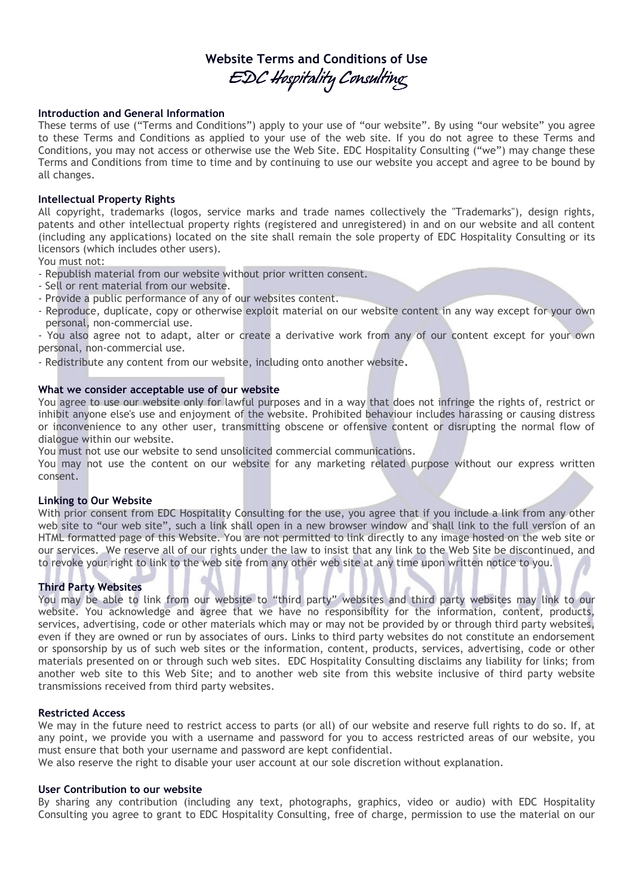# Website Terms and Conditions of Use EDC Hospitality Consulting

## Introduction and General Information

These terms of use ("Terms and Conditions") apply to your use of "our website". By using "our website" you agree to these Terms and Conditions as applied to your use of the web site. If you do not agree to these Terms and Conditions, you may not access or otherwise use the Web Site. EDC Hospitality Consulting ("we") may change these Terms and Conditions from time to time and by continuing to use our website you accept and agree to be bound by all changes.

## Intellectual Property Rights

All copyright, trademarks (logos, service marks and trade names collectively the "Trademarks"), design rights, patents and other intellectual property rights (registered and unregistered) in and on our website and all content (including any applications) located on the site shall remain the sole property of EDC Hospitality Consulting or its licensors (which includes other users).

You must not:

- Republish material from our website without prior written consent.
- Sell or rent material from our website.
- Provide a public performance of any of our websites content.
- Reproduce, duplicate, copy or otherwise exploit material on our website content in any way except for your own personal, non-commercial use.

- You also agree not to adapt, alter or create a derivative work from any of our content except for your own personal, non-commercial use.

- Redistribute any content from our website, including onto another website.

## What we consider acceptable use of our website

You agree to use our website only for lawful purposes and in a way that does not infringe the rights of, restrict or inhibit anyone else's use and enjoyment of the website. Prohibited behaviour includes harassing or causing distress or inconvenience to any other user, transmitting obscene or offensive content or disrupting the normal flow of dialogue within our website.

You must not use our website to send unsolicited commercial communications.

You may not use the content on our website for any marketing related purpose without our express written consent.

#### Linking to Our Website

With prior consent from EDC Hospitality Consulting for the use, you agree that if you include a link from any other web site to "our web site", such a link shall open in a new browser window and shall link to the full version of an HTML formatted page of this Website. You are not permitted to link directly to any image hosted on the web site or our services. We reserve all of our rights under the law to insist that any link to the Web Site be discontinued, and to revoke your right to link to the web site from any other web site at any time upon written notice to you.

# Third Party Websites

You may be able to link from our website to "third party" websites and third party websites may link to our website. You acknowledge and agree that we have no responsibility for the information, content, products, services, advertising, code or other materials which may or may not be provided by or through third party websites, even if they are owned or run by associates of ours. Links to third party websites do not constitute an endorsement or sponsorship by us of such web sites or the information, content, products, services, advertising, code or other materials presented on or through such web sites. EDC Hospitality Consulting disclaims any liability for links; from another web site to this Web Site; and to another web site from this website inclusive of third party website transmissions received from third party websites.

## Restricted Access

We may in the future need to restrict access to parts (or all) of our website and reserve full rights to do so. If, at any point, we provide you with a username and password for you to access restricted areas of our website, you must ensure that both your username and password are kept confidential.

We also reserve the right to disable your user account at our sole discretion without explanation.

#### User Contribution to our website

By sharing any contribution (including any text, photographs, graphics, video or audio) with EDC Hospitality Consulting you agree to grant to EDC Hospitality Consulting, free of charge, permission to use the material on our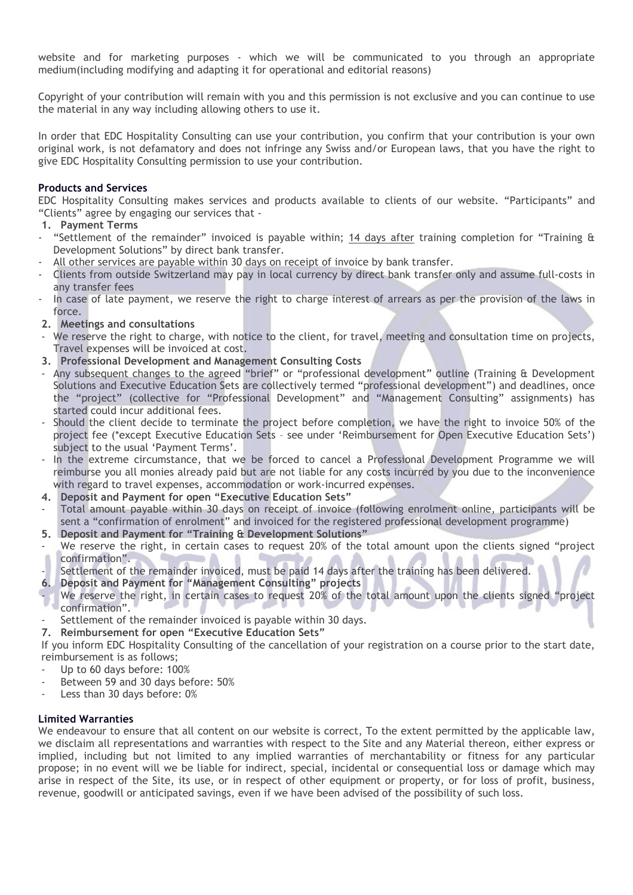website and for marketing purposes - which we will be communicated to you through an appropriate medium(including modifying and adapting it for operational and editorial reasons)

Copyright of your contribution will remain with you and this permission is not exclusive and you can continue to use the material in any way including allowing others to use it.

In order that EDC Hospitality Consulting can use your contribution, you confirm that your contribution is your own original work, is not defamatory and does not infringe any Swiss and/or European laws, that you have the right to give EDC Hospitality Consulting permission to use your contribution.

# Products and Services

EDC Hospitality Consulting makes services and products available to clients of our website. "Participants" and "Clients" agree by engaging our services that -

# 1. Payment Terms

- "Settlement of the remainder" invoiced is payable within; 14 days after training completion for "Training & Development Solutions" by direct bank transfer.
- All other services are payable within 30 days on receipt of invoice by bank transfer.
- Clients from outside Switzerland may pay in local currency by direct bank transfer only and assume full-costs in any transfer fees
- In case of late payment, we reserve the right to charge interest of arrears as per the provision of the laws in force.
- 2. Meetings and consultations
- We reserve the right to charge, with notice to the client, for travel, meeting and consultation time on projects, Travel expenses will be invoiced at cost.
- 3. Professional Development and Management Consulting Costs
- Any subsequent changes to the agreed "brief" or "professional development" outline (Training & Development Solutions and Executive Education Sets are collectively termed "professional development") and deadlines, once the "project" (collective for "Professional Development" and "Management Consulting" assignments) has started could incur additional fees.
- Should the client decide to terminate the project before completion, we have the right to invoice 50% of the project fee (\*except Executive Education Sets – see under 'Reimbursement for Open Executive Education Sets') subject to the usual 'Payment Terms'.
- In the extreme circumstance, that we be forced to cancel a Professional Development Programme we will reimburse you all monies already paid but are not liable for any costs incurred by you due to the inconvenience with regard to travel expenses, accommodation or work-incurred expenses.
- 4. Deposit and Payment for open "Executive Education Sets"
- Total amount payable within 30 days on receipt of invoice (following enrolment online, participants will be sent a "confirmation of enrolment" and invoiced for the registered professional development programme)
- 5. Deposit and Payment for "Training & Development Solutions"
- We reserve the right, in certain cases to request 20% of the total amount upon the clients signed "project confirmation".
- Settlement of the remainder invoiced, must be paid 14 days after the training has been delivered.
- 6. Deposit and Payment for "Management Consulting" projects
- We reserve the right, in certain cases to request 20% of the total amount upon the clients signed "project confirmation".
- Settlement of the remainder invoiced is payable within 30 days.

7. Reimbursement for open "Executive Education Sets"

If you inform EDC Hospitality Consulting of the cancellation of your registration on a course prior to the start date, reimbursement is as follows;

- Up to 60 days before: 100%
- Between 59 and 30 days before: 50%
- Less than 30 days before: 0%

# Limited Warranties

We endeavour to ensure that all content on our website is correct. To the extent permitted by the applicable law, we disclaim all representations and warranties with respect to the Site and any Material thereon, either express or implied, including but not limited to any implied warranties of merchantability or fitness for any particular propose; in no event will we be liable for indirect, special, incidental or consequential loss or damage which may arise in respect of the Site, its use, or in respect of other equipment or property, or for loss of profit, business, revenue, goodwill or anticipated savings, even if we have been advised of the possibility of such loss.